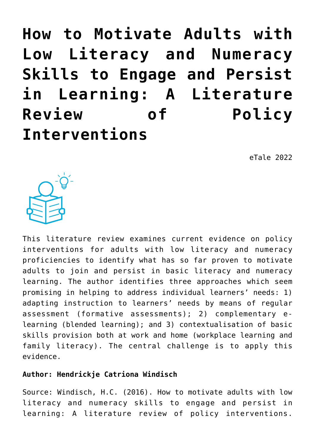**[How to Motivate Adults with](https://dev.taleafrica.com/2020/11/30/how-to-motivate-adults-with-low-literacy-and-numeracy-skills-to-engage-and-persist-in-learning-a-literature-review-of-policy-interventions/) [Low Literacy and Numeracy](https://dev.taleafrica.com/2020/11/30/how-to-motivate-adults-with-low-literacy-and-numeracy-skills-to-engage-and-persist-in-learning-a-literature-review-of-policy-interventions/) [Skills to Engage and Persist](https://dev.taleafrica.com/2020/11/30/how-to-motivate-adults-with-low-literacy-and-numeracy-skills-to-engage-and-persist-in-learning-a-literature-review-of-policy-interventions/) [in Learning: A Literature](https://dev.taleafrica.com/2020/11/30/how-to-motivate-adults-with-low-literacy-and-numeracy-skills-to-engage-and-persist-in-learning-a-literature-review-of-policy-interventions/) [Review of Policy](https://dev.taleafrica.com/2020/11/30/how-to-motivate-adults-with-low-literacy-and-numeracy-skills-to-engage-and-persist-in-learning-a-literature-review-of-policy-interventions/) [Interventions](https://dev.taleafrica.com/2020/11/30/how-to-motivate-adults-with-low-literacy-and-numeracy-skills-to-engage-and-persist-in-learning-a-literature-review-of-policy-interventions/)**

eTale 2022



This literature review examines current evidence on policy interventions for adults with low literacy and numeracy proficiencies to identify what has so far proven to motivate adults to join and persist in basic literacy and numeracy learning. The author identifies three approaches which seem promising in helping to address individual learners' needs: 1) adapting instruction to learners' needs by means of regular assessment (formative assessments); 2) complementary elearning (blended learning); and 3) contextualisation of basic skills provision both at work and home (workplace learning and family literacy). The central challenge is to apply this evidence.

## **Author: Hendrickje Catriona Windisch**

Source: Windisch, H.C. (2016). How to motivate adults with low literacy and numeracy skills to engage and persist in learning: A literature review of policy interventions.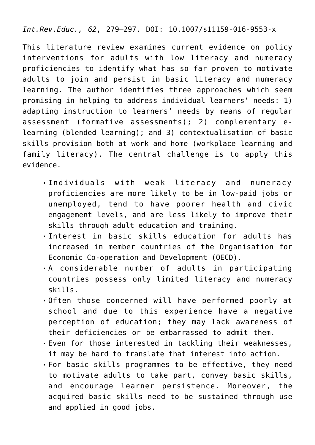*Int.Rev.Educ., 62*, 279–297. DOI: 10.1007/s11159-016-9553-x

This literature review examines current evidence on policy interventions for adults with low literacy and numeracy proficiencies to identify what has so far proven to motivate adults to join and persist in basic literacy and numeracy learning. The author identifies three approaches which seem promising in helping to address individual learners' needs: 1) adapting instruction to learners' needs by means of regular assessment (formative assessments); 2) complementary elearning (blended learning); and 3) contextualisation of basic skills provision both at work and home (workplace learning and family literacy). The central challenge is to apply this evidence.

- Individuals with weak literacy and numeracy proficiencies are more likely to be in low-paid jobs or unemployed, tend to have poorer health and civic engagement levels, and are less likely to improve their skills through adult education and training.
- Interest in basic skills education for adults has increased in member countries of the Organisation for Economic Co-operation and Development (OECD).
- A considerable number of adults in participating countries possess only limited literacy and numeracy skills.
- Often those concerned will have performed poorly at school and due to this experience have a negative perception of education; they may lack awareness of their deficiencies or be embarrassed to admit them.
- Even for those interested in tackling their weaknesses, it may be hard to translate that interest into action.
- For basic skills programmes to be effective, they need to motivate adults to take part, convey basic skills, and encourage learner persistence. Moreover, the acquired basic skills need to be sustained through use and applied in good jobs.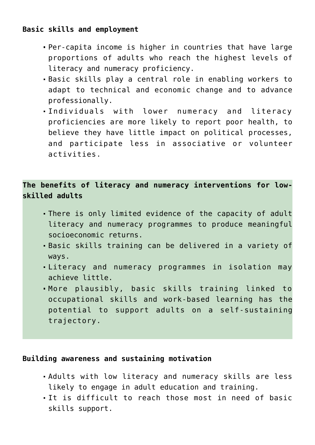### **Basic skills and employment**

- Per-capita income is higher in countries that have large proportions of adults who reach the highest levels of literacy and numeracy proficiency.
- Basic skills play a central role in enabling workers to adapt to technical and economic change and to advance professionally.
- Individuals with lower numeracy and literacy proficiencies are more likely to report poor health, to believe they have little impact on political processes, and participate less in associative or volunteer activities.

**The benefits of literacy and numeracy interventions for lowskilled adults**

- There is only limited evidence of the capacity of adult literacy and numeracy programmes to produce meaningful socioeconomic returns.
- Basic skills training can be delivered in a variety of ways.
- Literacy and numeracy programmes in isolation may achieve little.
- More plausibly, basic skills training linked to occupational skills and work-based learning has the potential to support adults on a self-sustaining trajectory.

#### **Building awareness and sustaining motivation**

- Adults with low literacy and numeracy skills are less likely to engage in adult education and training.
- It is difficult to reach those most in need of basic skills support.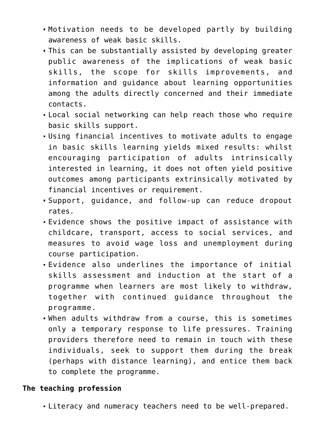- Motivation needs to be developed partly by building awareness of weak basic skills.
- This can be substantially assisted by developing greater public awareness of the implications of weak basic skills, the scope for skills improvements, and information and guidance about learning opportunities among the adults directly concerned and their immediate contacts.
- Local social networking can help reach those who require basic skills support.
- Using financial incentives to motivate adults to engage in basic skills learning yields mixed results: whilst encouraging participation of adults intrinsically interested in learning, it does not often yield positive outcomes among participants extrinsically motivated by financial incentives or requirement.
- Support, guidance, and follow-up can reduce dropout rates.
- Evidence shows the positive impact of assistance with childcare, transport, access to social services, and measures to avoid wage loss and unemployment during course participation.
- Evidence also underlines the importance of initial skills assessment and induction at the start of a programme when learners are most likely to withdraw, together with continued guidance throughout the programme.
- When adults withdraw from a course, this is sometimes only a temporary response to life pressures. Training providers therefore need to remain in touch with these individuals, seek to support them during the break (perhaps with distance learning), and entice them back to complete the programme.

#### **The teaching profession**

Literacy and numeracy teachers need to be well-prepared.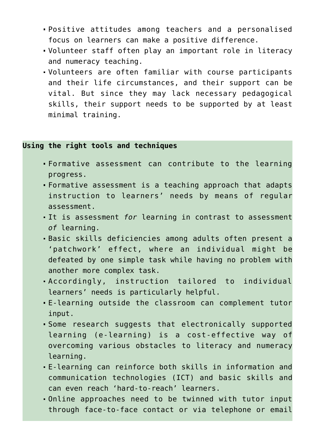- Positive attitudes among teachers and a personalised focus on learners can make a positive difference.
- Volunteer staff often play an important role in literacy and numeracy teaching.
- Volunteers are often familiar with course participants and their life circumstances, and their support can be vital. But since they may lack necessary pedagogical skills, their support needs to be supported by at least minimal training.

#### **Using the right tools and techniques**

- Formative assessment can contribute to the learning progress.
- Formative assessment is a teaching approach that adapts instruction to learners' needs by means of regular assessment.
- It is assessment *for* learning in contrast to assessment *of* learning.
- Basic skills deficiencies among adults often present a 'patchwork' effect, where an individual might be defeated by one simple task while having no problem with another more complex task.
- Accordingly, instruction tailored to individual learners' needs is particularly helpful.
- E-learning outside the classroom can complement tutor input.
- Some research suggests that electronically supported learning (e-learning) is a cost-effective way of overcoming various obstacles to literacy and numeracy learning.
- E-learning can reinforce both skills in information and communication technologies (ICT) and basic skills and can even reach 'hard-to-reach' learners.
- Online approaches need to be twinned with tutor input through face-to-face contact or via telephone or email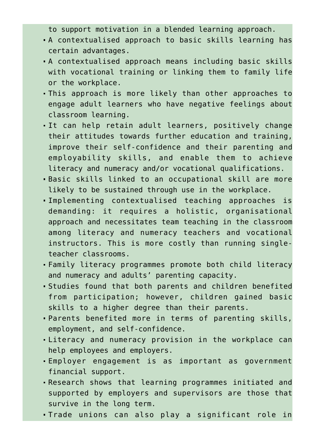to support motivation in a blended learning approach.

- A contextualised approach to basic skills learning has certain advantages.
- A contextualised approach means including basic skills with vocational training or linking them to family life or the workplace.
- This approach is more likely than other approaches to engage adult learners who have negative feelings about classroom learning.
- It can help retain adult learners, positively change their attitudes towards further education and training, improve their self-confidence and their parenting and employability skills, and enable them to achieve literacy and numeracy and/or vocational qualifications.
- Basic skills linked to an occupational skill are more likely to be sustained through use in the workplace.
- Implementing contextualised teaching approaches is demanding: it requires a holistic, organisational approach and necessitates team teaching in the classroom among literacy and numeracy teachers and vocational instructors. This is more costly than running singleteacher classrooms.
- Family literacy programmes promote both child literacy and numeracy and adults' parenting capacity.
- Studies found that both parents and children benefited from participation; however, children gained basic skills to a higher degree than their parents.
- Parents benefited more in terms of parenting skills, employment, and self-confidence.
- Literacy and numeracy provision in the workplace can help employees and employers.
- Employer engagement is as important as government financial support.
- Research shows that learning programmes initiated and supported by employers and supervisors are those that survive in the long term.
- Trade unions can also play a significant role in